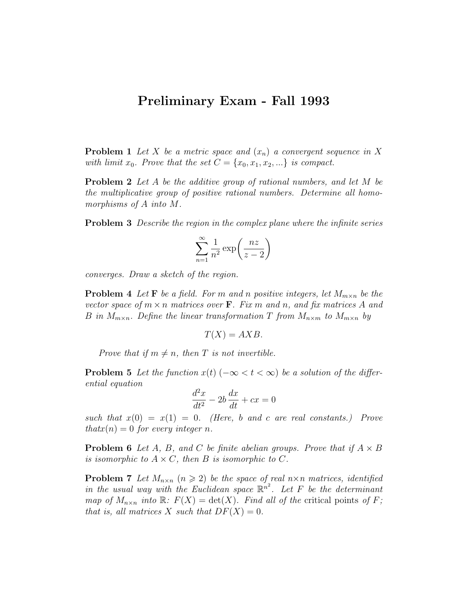## Preliminary Exam - Fall 1993

**Problem 1** Let X be a metric space and  $(x_n)$  a convergent sequence in X with limit  $x_0$ . Prove that the set  $C = \{x_0, x_1, x_2, ...\}$  is compact.

**Problem 2** Let A be the additive group of rational numbers, and let M be the multiplicative group of positive rational numbers. Determine all homomorphisms of A into M.

**Problem 3** Describe the region in the complex plane where the infinite series

$$
\sum_{n=1}^{\infty} \frac{1}{n^2} \exp\left(\frac{nz}{z-2}\right)
$$

converges. Draw a sketch of the region.

**Problem 4** Let **F** be a field. For m and n positive integers, let  $M_{m \times n}$  be the vector space of  $m \times n$  matrices over **F**. Fix m and n, and fix matrices A and B in  $M_{m \times n}$ . Define the linear transformation T from  $M_{n \times m}$  to  $M_{m \times n}$  by

$$
T(X) = AXB.
$$

Prove that if  $m \neq n$ , then T is not invertible.

**Problem 5** Let the function  $x(t)$  ( $-\infty < t < \infty$ ) be a solution of the differential equation

$$
\frac{d^2x}{dt^2} - 2b\frac{dx}{dt} + cx = 0
$$

such that  $x(0) = x(1) = 0$ . (Here, b and c are real constants.) Prove  $that x(n) = 0$  for every integer n.

**Problem 6** Let A, B, and C be finite abelian groups. Prove that if  $A \times B$ is isomorphic to  $A \times C$ , then B is isomorphic to C.

**Problem 7** Let  $M_{n\times n}$   $(n \geq 2)$  be the space of real  $n \times n$  matrices, identified in the usual way with the Euclidean space  $\mathbb{R}^{n^2}$ . Let F be the determinant map of  $M_{n\times n}$  into  $\mathbb{R}$ :  $F(X) = \det(X)$ . Find all of the critical points of F; that is, all matrices X such that  $DF(X) = 0$ .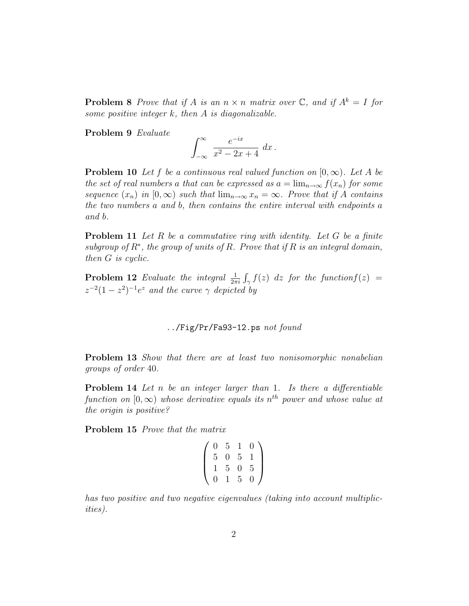**Problem 8** Prove that if A is an  $n \times n$  matrix over C, and if  $A^k = I$  for some positive integer  $k$ , then  $A$  is diagonalizable.

Problem 9 Evaluate

$$
\int_{-\infty}^{\infty} \frac{e^{-ix}}{x^2 - 2x + 4} dx.
$$

**Problem 10** Let f be a continuous real valued function on  $[0, \infty)$ . Let A be the set of real numbers a that can be expressed as  $a = \lim_{n\to\infty} f(x_n)$  for some sequence  $(x_n)$  in  $[0,\infty)$  such that  $\lim_{n\to\infty}x_n=\infty$ . Prove that if A contains the two numbers a and b, then contains the entire interval with endpoints a and b.

**Problem 11** Let R be a commutative ring with identity. Let G be a finite subgroup of  $R^*$ , the group of units of R. Prove that if R is an integral domain, then G is cyclic.

**Problem 12** Evaluate the integral  $\frac{1}{2\pi i} \int_{\gamma} f(z) dz$  for the function $f(z)$  =  $z^{-2}(1-z^2)^{-1}e^z$  and the curve  $\gamma$  depicted by

 $\ldots$ /Fig/Pr/Fa93-12.ps not found

Problem 13 Show that there are at least two nonisomorphic nonabelian groups of order 40.

Problem 14 Let n be an integer larger than 1. Is there a differentiable function on  $[0, \infty)$  whose derivative equals its  $n^{th}$  power and whose value at the origin is positive?

Problem 15 Prove that the matrix

$$
\left(\begin{array}{rrrr}\n0 & 5 & 1 & 0 \\
5 & 0 & 5 & 1 \\
1 & 5 & 0 & 5 \\
0 & 1 & 5 & 0\n\end{array}\right)
$$

has two positive and two negative eigenvalues (taking into account multiplicities).